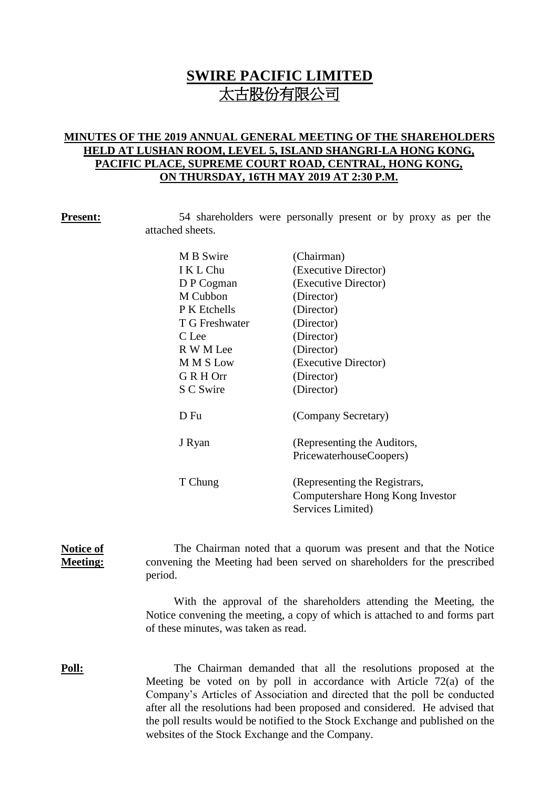# **SWIRE PACIFIC LIMITED** 太古股份有限公司

### **MINUTES OF THE 2019 ANNUAL GENERAL MEETING OF THE SHAREHOLDERS HELD AT LUSHAN ROOM, LEVEL 5, ISLAND SHANGRI-LA HONG KONG, PACIFIC PLACE, SUPREME COURT ROAD, CENTRAL, HONG KONG, ON THURSDAY, 16TH MAY 2019 AT 2:30 P.M.**

**Present:** 54 shareholders were personally present or by proxy as per the attached sheets.

| M B Swire      | (Chairman)                       |  |
|----------------|----------------------------------|--|
| I K L Chu      | (Executive Director)             |  |
| D P Cogman     | (Executive Director)             |  |
| M Cubbon       | (Director)                       |  |
| P K Etchells   | (Director)                       |  |
| T G Freshwater | (Director)                       |  |
| C Lee          | (Director)                       |  |
| R W M Lee      | (Director)                       |  |
| M M S Low      | (Executive Director)             |  |
| G R H Orr      | (Director)                       |  |
| S C Swire      | (Director)                       |  |
| D Fu           | (Company Secretary)              |  |
| J Ryan         | (Representing the Auditors,      |  |
|                | PricewaterhouseCoopers)          |  |
| T Chung        | (Representing the Registrars,    |  |
|                | Computershare Hong Kong Investor |  |
|                | Services Limited)                |  |

**Notice of Meeting:** The Chairman noted that a quorum was present and that the Notice convening the Meeting had been served on shareholders for the prescribed period.

> With the approval of the shareholders attending the Meeting, the Notice convening the meeting, a copy of which is attached to and forms part of these minutes, was taken as read.

**Poll:** The Chairman demanded that all the resolutions proposed at the Meeting be voted on by poll in accordance with Article 72(a) of the Company's Articles of Association and directed that the poll be conducted after all the resolutions had been proposed and considered. He advised that the poll results would be notified to the Stock Exchange and published on the websites of the Stock Exchange and the Company.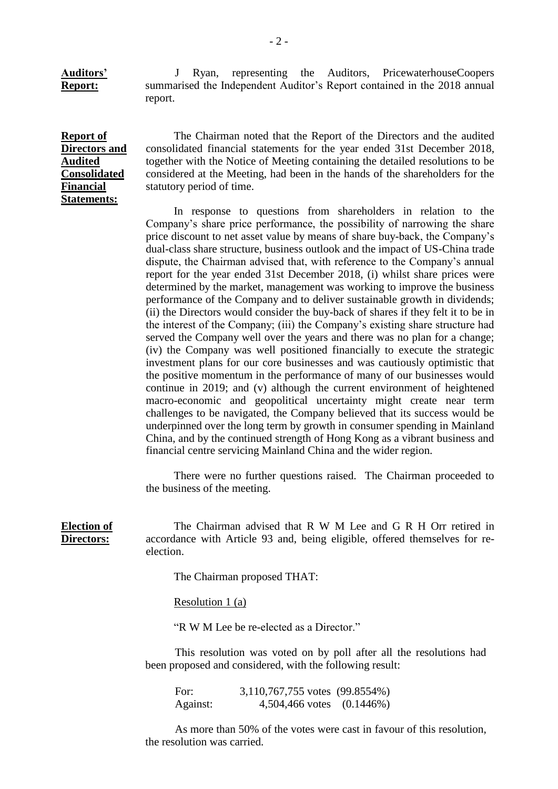**Auditors' Report:** J Ryan, representing the Auditors, PricewaterhouseCoopers summarised the Independent Auditor's Report contained in the 2018 annual report.

#### **Report of Directors and Audited Consolidated Financial Statements:**

The Chairman noted that the Report of the Directors and the audited consolidated financial statements for the year ended 31st December 2018, together with the Notice of Meeting containing the detailed resolutions to be considered at the Meeting, had been in the hands of the shareholders for the statutory period of time.

In response to questions from shareholders in relation to the Company's share price performance, the possibility of narrowing the share price discount to net asset value by means of share buy-back, the Company's dual-class share structure, business outlook and the impact of US-China trade dispute, the Chairman advised that, with reference to the Company's annual report for the year ended 31st December 2018, (i) whilst share prices were determined by the market, management was working to improve the business performance of the Company and to deliver sustainable growth in dividends; (ii) the Directors would consider the buy-back of shares if they felt it to be in the interest of the Company; (iii) the Company's existing share structure had served the Company well over the years and there was no plan for a change; (iv) the Company was well positioned financially to execute the strategic investment plans for our core businesses and was cautiously optimistic that the positive momentum in the performance of many of our businesses would continue in 2019; and (v) although the current environment of heightened macro-economic and geopolitical uncertainty might create near term challenges to be navigated, the Company believed that its success would be underpinned over the long term by growth in consumer spending in Mainland China, and by the continued strength of Hong Kong as a vibrant business and financial centre servicing Mainland China and the wider region.

There were no further questions raised. The Chairman proceeded to the business of the meeting.

#### **Election of Directors:**

The Chairman advised that R W M Lee and G R H Orr retired in accordance with Article 93 and, being eligible, offered themselves for reelection.

The Chairman proposed THAT:

Resolution 1 (a)

"R W M Lee be re-elected as a Director."

This resolution was voted on by poll after all the resolutions had been proposed and considered, with the following result:

For: 3,110,767,755 votes (99.8554%) Against: 4,504,466 votes (0.1446%)

As more than 50% of the votes were cast in favour of this resolution, the resolution was carried.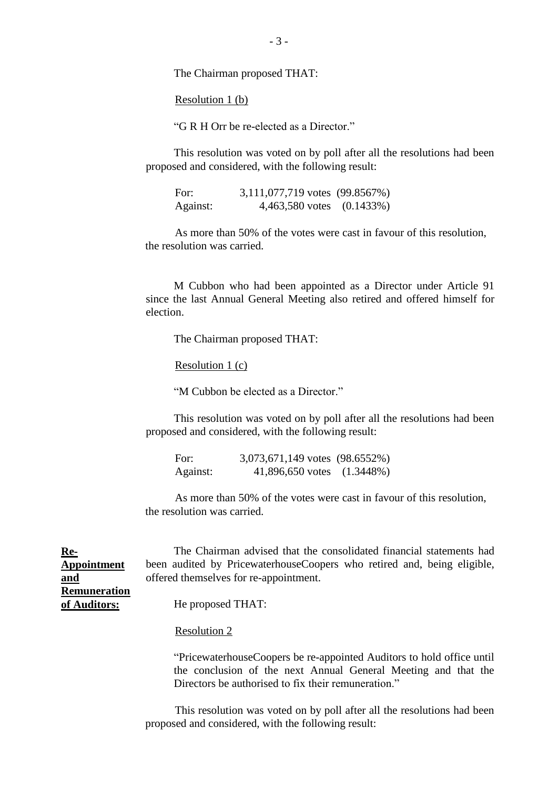The Chairman proposed THAT:

Resolution 1 (b)

"G R H Orr be re-elected as a Director."

This resolution was voted on by poll after all the resolutions had been proposed and considered, with the following result:

| For:     | 3,111,077,719 votes (99.8567%) |  |
|----------|--------------------------------|--|
| Against: | 4,463,580 votes (0.1433%)      |  |

As more than 50% of the votes were cast in favour of this resolution, the resolution was carried.

M Cubbon who had been appointed as a Director under Article 91 since the last Annual General Meeting also retired and offered himself for election.

The Chairman proposed THAT:

Resolution 1 (c)

"M Cubbon be elected as a Director."

This resolution was voted on by poll after all the resolutions had been proposed and considered, with the following result:

| For:     | 3,073,671,149 votes (98.6552%) |  |
|----------|--------------------------------|--|
| Against: | 41,896,650 votes (1.3448%)     |  |

As more than 50% of the votes were cast in favour of this resolution, the resolution was carried.

| <u>Re-</u>          | The Chairman advised that the consolidated financial statements had      |
|---------------------|--------------------------------------------------------------------------|
| <b>Appointment</b>  | been audited by Pricewaterhouse Coopers who retired and, being eligible, |
| and                 | offered themselves for re-appointment.                                   |
| <b>Remuneration</b> |                                                                          |
| of Auditors:        | He proposed THAT:                                                        |
|                     |                                                                          |

#### Resolution 2

"PricewaterhouseCoopers be re-appointed Auditors to hold office until the conclusion of the next Annual General Meeting and that the Directors be authorised to fix their remuneration."

This resolution was voted on by poll after all the resolutions had been proposed and considered, with the following result: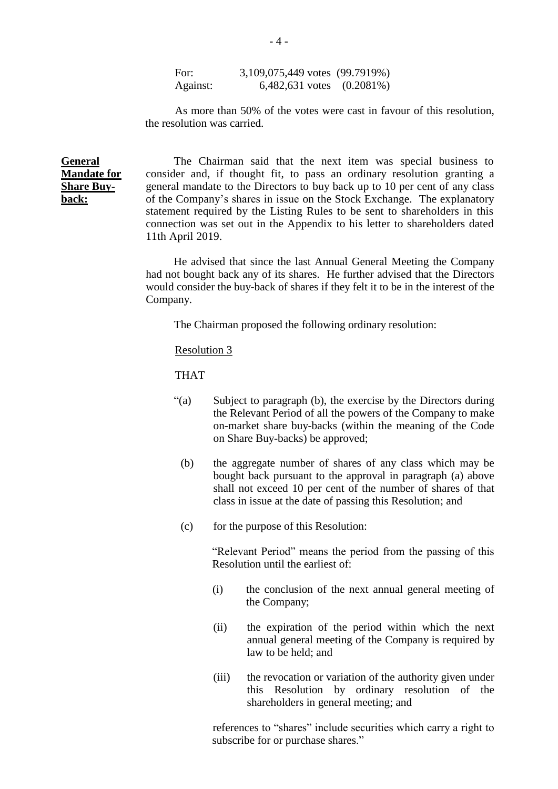For: 3,109,075,449 votes (99.7919%) Against: 6,482,631 votes (0.2081%)

As more than 50% of the votes were cast in favour of this resolution, the resolution was carried.

**General Mandate for Share Buyback:**

The Chairman said that the next item was special business to consider and, if thought fit, to pass an ordinary resolution granting a general mandate to the Directors to buy back up to 10 per cent of any class of the Company's shares in issue on the Stock Exchange. The explanatory statement required by the Listing Rules to be sent to shareholders in this connection was set out in the Appendix to his letter to shareholders dated 11th April 2019.

He advised that since the last Annual General Meeting the Company had not bought back any of its shares. He further advised that the Directors would consider the buy-back of shares if they felt it to be in the interest of the Company.

The Chairman proposed the following ordinary resolution:

#### Resolution 3

THAT

- "(a) Subject to paragraph (b), the exercise by the Directors during the Relevant Period of all the powers of the Company to make on-market share buy-backs (within the meaning of the Code on Share Buy-backs) be approved;
	- (b) the aggregate number of shares of any class which may be bought back pursuant to the approval in paragraph (a) above shall not exceed 10 per cent of the number of shares of that class in issue at the date of passing this Resolution; and
	- (c) for the purpose of this Resolution:

"Relevant Period" means the period from the passing of this Resolution until the earliest of:

- (i) the conclusion of the next annual general meeting of the Company;
- (ii) the expiration of the period within which the next annual general meeting of the Company is required by law to be held; and
- (iii) the revocation or variation of the authority given under this Resolution by ordinary resolution of the shareholders in general meeting; and

references to "shares" include securities which carry a right to subscribe for or purchase shares."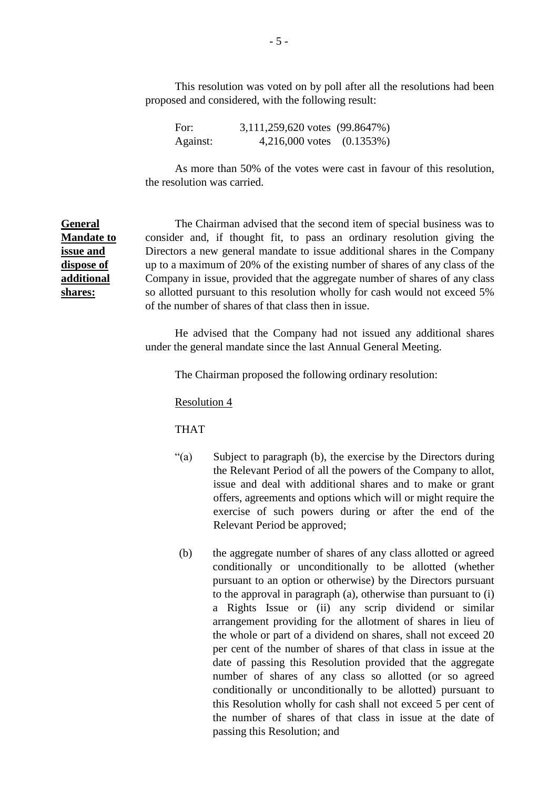This resolution was voted on by poll after all the resolutions had been proposed and considered, with the following result:

For: 3,111,259,620 votes (99.8647%) Against: 4,216,000 votes (0.1353%)

As more than 50% of the votes were cast in favour of this resolution, the resolution was carried.

The Chairman advised that the second item of special business was to consider and, if thought fit, to pass an ordinary resolution giving the Directors a new general mandate to issue additional shares in the Company up to a maximum of 20% of the existing number of shares of any class of the Company in issue, provided that the aggregate number of shares of any class so allotted pursuant to this resolution wholly for cash would not exceed 5% of the number of shares of that class then in issue.

He advised that the Company had not issued any additional shares under the general mandate since the last Annual General Meeting.

The Chairman proposed the following ordinary resolution:

Resolution 4

THAT

- "(a) Subject to paragraph (b), the exercise by the Directors during the Relevant Period of all the powers of the Company to allot, issue and deal with additional shares and to make or grant offers, agreements and options which will or might require the exercise of such powers during or after the end of the Relevant Period be approved;
- (b) the aggregate number of shares of any class allotted or agreed conditionally or unconditionally to be allotted (whether pursuant to an option or otherwise) by the Directors pursuant to the approval in paragraph (a), otherwise than pursuant to (i) a Rights Issue or (ii) any scrip dividend or similar arrangement providing for the allotment of shares in lieu of the whole or part of a dividend on shares, shall not exceed 20 per cent of the number of shares of that class in issue at the date of passing this Resolution provided that the aggregate number of shares of any class so allotted (or so agreed conditionally or unconditionally to be allotted) pursuant to this Resolution wholly for cash shall not exceed 5 per cent of the number of shares of that class in issue at the date of passing this Resolution; and

**General Mandate to issue and dispose of additional shares:**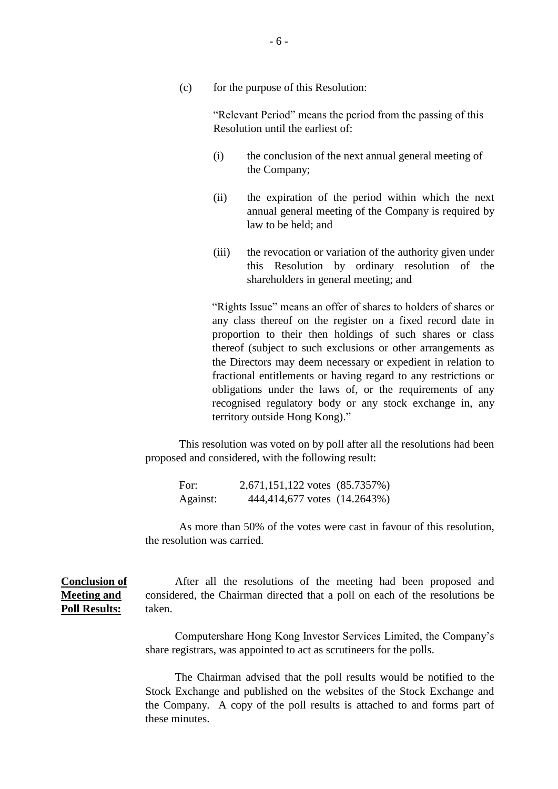(c) for the purpose of this Resolution:

"Relevant Period" means the period from the passing of this Resolution until the earliest of:

- (i) the conclusion of the next annual general meeting of the Company;
- (ii) the expiration of the period within which the next annual general meeting of the Company is required by law to be held; and
- (iii) the revocation or variation of the authority given under this Resolution by ordinary resolution of the shareholders in general meeting; and

"Rights Issue" means an offer of shares to holders of shares or any class thereof on the register on a fixed record date in proportion to their then holdings of such shares or class thereof (subject to such exclusions or other arrangements as the Directors may deem necessary or expedient in relation to fractional entitlements or having regard to any restrictions or obligations under the laws of, or the requirements of any recognised regulatory body or any stock exchange in, any territory outside Hong Kong)."

This resolution was voted on by poll after all the resolutions had been proposed and considered, with the following result:

For: 2,671,151,122 votes (85.7357%) Against: 444,414,677 votes (14.2643%)

As more than 50% of the votes were cast in favour of this resolution, the resolution was carried.

**Conclusion of Meeting and Poll Results:** After all the resolutions of the meeting had been proposed and considered, the Chairman directed that a poll on each of the resolutions be taken.

> Computershare Hong Kong Investor Services Limited, the Company's share registrars, was appointed to act as scrutineers for the polls.

> The Chairman advised that the poll results would be notified to the Stock Exchange and published on the websites of the Stock Exchange and the Company. A copy of the poll results is attached to and forms part of these minutes.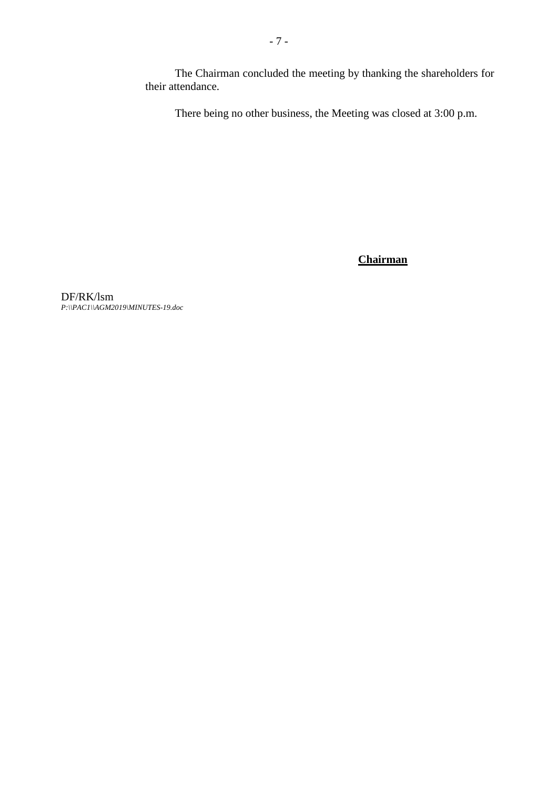The Chairman concluded the meeting by thanking the shareholders for their attendance.

There being no other business, the Meeting was closed at 3:00 p.m.

# **Chairman**

DF/RK/lsm *P:\\PAC1\\AGM2019\MINUTES-19.doc*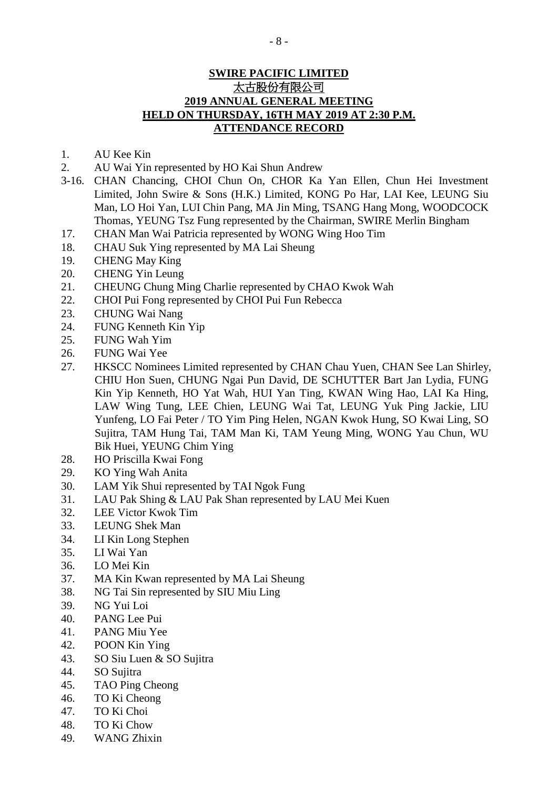## **SWIRE PACIFIC LIMITED** 太古股份有限公司 **2019 ANNUAL GENERAL MEETING HELD ON THURSDAY, 16TH MAY 2019 AT 2:30 P.M. ATTENDANCE RECORD**

- 1. AU Kee Kin
- 2. AU Wai Yin represented by HO Kai Shun Andrew
- 3-16. CHAN Chancing, CHOI Chun On, CHOR Ka Yan Ellen, Chun Hei Investment Limited, John Swire & Sons (H.K.) Limited, KONG Po Har, LAI Kee, LEUNG Siu Man, LO Hoi Yan, LUI Chin Pang, MA Jin Ming, TSANG Hang Mong, WOODCOCK Thomas, YEUNG Tsz Fung represented by the Chairman, SWIRE Merlin Bingham
- 17. CHAN Man Wai Patricia represented by WONG Wing Hoo Tim
- 18. CHAU Suk Ying represented by MA Lai Sheung
- 19. CHENG May King
- 20. CHENG Yin Leung
- 21. CHEUNG Chung Ming Charlie represented by CHAO Kwok Wah
- 22. CHOI Pui Fong represented by CHOI Pui Fun Rebecca
- 23. CHUNG Wai Nang
- 24. FUNG Kenneth Kin Yip
- 25. FUNG Wah Yim
- 26. FUNG Wai Yee
- 27. HKSCC Nominees Limited represented by CHAN Chau Yuen, CHAN See Lan Shirley, CHIU Hon Suen, CHUNG Ngai Pun David, DE SCHUTTER Bart Jan Lydia, FUNG Kin Yip Kenneth, HO Yat Wah, HUI Yan Ting, KWAN Wing Hao, LAI Ka Hing, LAW Wing Tung, LEE Chien, LEUNG Wai Tat, LEUNG Yuk Ping Jackie, LIU Yunfeng, LO Fai Peter / TO Yim Ping Helen, NGAN Kwok Hung, SO Kwai Ling, SO Sujitra, TAM Hung Tai, TAM Man Ki, TAM Yeung Ming, WONG Yau Chun, WU Bik Huei, YEUNG Chim Ying
- 28. HO Priscilla Kwai Fong
- 29. KO Ying Wah Anita
- 30. LAM Yik Shui represented by TAI Ngok Fung
- 31. LAU Pak Shing & LAU Pak Shan represented by LAU Mei Kuen
- 32. LEE Victor Kwok Tim
- 33. LEUNG Shek Man
- 34. LI Kin Long Stephen
- 35. LI Wai Yan
- 36. LO Mei Kin
- 37. MA Kin Kwan represented by MA Lai Sheung
- 38. NG Tai Sin represented by SIU Miu Ling
- 39. NG Yui Loi
- 40. PANG Lee Pui
- 41. PANG Miu Yee
- 42. POON Kin Ying
- 43. SO Siu Luen & SO Sujitra
- 44. SO Sujitra
- 45. TAO Ping Cheong
- 46. TO Ki Cheong
- 47. TO Ki Choi
- 48. TO Ki Chow
- 49. WANG Zhixin